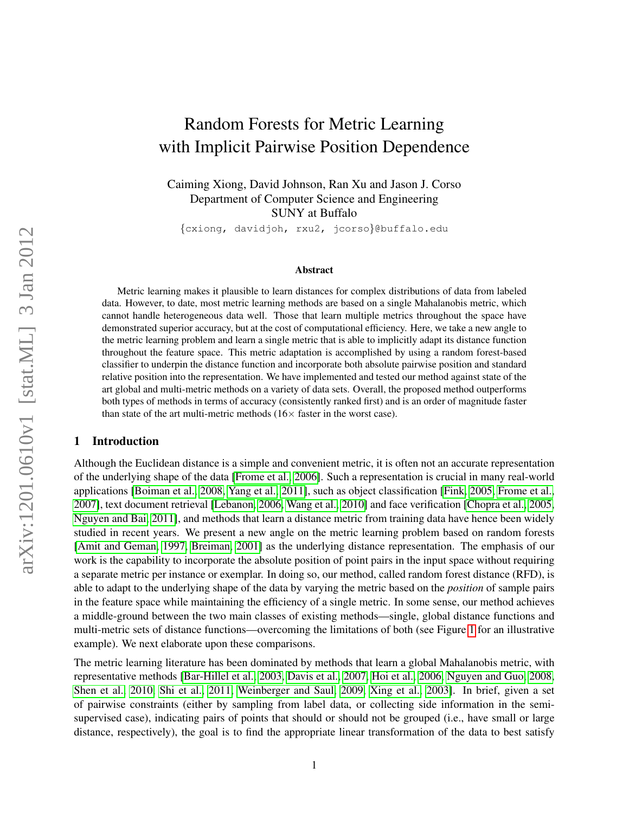# Random Forests for Metric Learning with Implicit Pairwise Position Dependence

Caiming Xiong, David Johnson, Ran Xu and Jason J. Corso Department of Computer Science and Engineering SUNY at Buffalo

{cxiong, davidjoh, rxu2, jcorso}@buffalo.edu

#### Abstract

Metric learning makes it plausible to learn distances for complex distributions of data from labeled data. However, to date, most metric learning methods are based on a single Mahalanobis metric, which cannot handle heterogeneous data well. Those that learn multiple metrics throughout the space have demonstrated superior accuracy, but at the cost of computational efficiency. Here, we take a new angle to the metric learning problem and learn a single metric that is able to implicitly adapt its distance function throughout the feature space. This metric adaptation is accomplished by using a random forest-based classifier to underpin the distance function and incorporate both absolute pairwise position and standard relative position into the representation. We have implemented and tested our method against state of the art global and multi-metric methods on a variety of data sets. Overall, the proposed method outperforms both types of methods in terms of accuracy (consistently ranked first) and is an order of magnitude faster than state of the art multi-metric methods  $(16 \times$  faster in the worst case).

#### 1 Introduction

Although the Euclidean distance is a simple and convenient metric, it is often not an accurate representation of the underlying shape of the data [\[Frome et al., 2006\]](#page-11-0). Such a representation is crucial in many real-world applications [\[Boiman et al., 2008,](#page-10-0) [Yang et al., 2011\]](#page-12-0), such as object classification [\[Fink, 2005,](#page-11-1) [Frome et al.,](#page-11-2) [2007\]](#page-11-2), text document retrieval [\[Lebanon, 2006,](#page-11-3) [Wang et al., 2010\]](#page-11-4) and face verification [\[Chopra et al., 2005,](#page-11-5) [Nguyen and Bai, 2011\]](#page-11-6), and methods that learn a distance metric from training data have hence been widely studied in recent years. We present a new angle on the metric learning problem based on random forests [\[Amit and Geman, 1997,](#page-10-1) [Breiman, 2001\]](#page-10-2) as the underlying distance representation. The emphasis of our work is the capability to incorporate the absolute position of point pairs in the input space without requiring a separate metric per instance or exemplar. In doing so, our method, called random forest distance (RFD), is able to adapt to the underlying shape of the data by varying the metric based on the *position* of sample pairs in the feature space while maintaining the efficiency of a single metric. In some sense, our method achieves a middle-ground between the two main classes of existing methods—single, global distance functions and multi-metric sets of distance functions—overcoming the limitations of both (see Figure [1](#page-1-0) for an illustrative example). We next elaborate upon these comparisons.

The metric learning literature has been dominated by methods that learn a global Mahalanobis metric, with representative methods [\[Bar-Hillel et al., 2003,](#page-10-3) [Davis et al., 2007,](#page-11-7) [Hoi et al., 2006,](#page-11-8) [Nguyen and Guo, 2008,](#page-11-9) [Shen et al., 2010,](#page-11-10) [Shi et al., 2011,](#page-11-11) [Weinberger and Saul, 2009,](#page-11-12) [Xing et al., 2003\]](#page-12-1). In brief, given a set of pairwise constraints (either by sampling from label data, or collecting side information in the semisupervised case), indicating pairs of points that should or should not be grouped (i.e., have small or large distance, respectively), the goal is to find the appropriate linear transformation of the data to best satisfy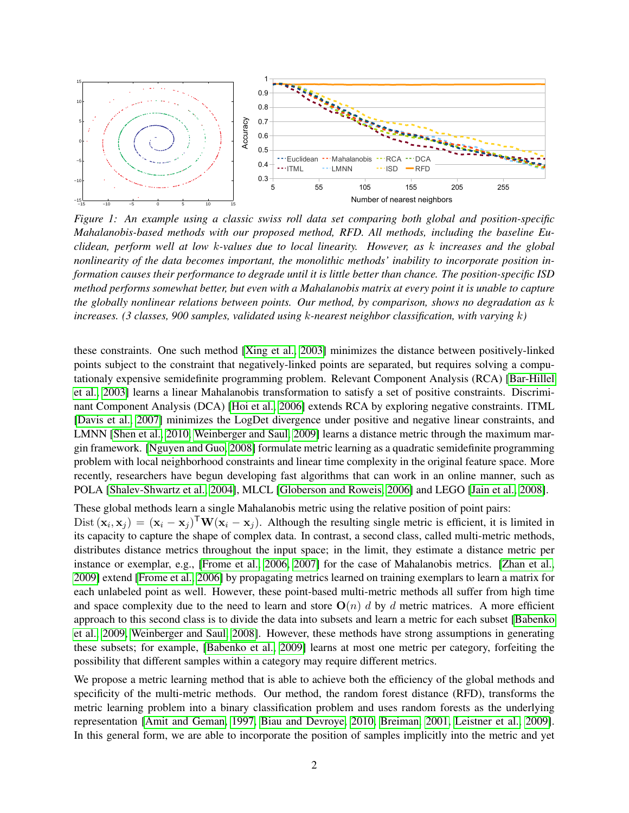

<span id="page-1-0"></span>*Figure 1: An example using a classic swiss roll data set comparing both global and position-specific Mahalanobis-based methods with our proposed method, RFD. All methods, including the baseline Euclidean, perform well at low* k*-values due to local linearity. However, as* k *increases and the global nonlinearity of the data becomes important, the monolithic methods' inability to incorporate position information causes their performance to degrade until it is little better than chance. The position-specific ISD method performs somewhat better, but even with a Mahalanobis matrix at every point it is unable to capture the globally nonlinear relations between points. Our method, by comparison, shows no degradation as* k *increases. (3 classes, 900 samples, validated using* k*-nearest neighbor classification, with varying* k*)*

these constraints. One such method [\[Xing et al., 2003\]](#page-12-1) minimizes the distance between positively-linked points subject to the constraint that negatively-linked points are separated, but requires solving a computationaly expensive semidefinite programming problem. Relevant Component Analysis (RCA) [\[Bar-Hillel](#page-10-3) [et al., 2003\]](#page-10-3) learns a linear Mahalanobis transformation to satisfy a set of positive constraints. Discriminant Component Analysis (DCA) [\[Hoi et al., 2006\]](#page-11-8) extends RCA by exploring negative constraints. ITML [\[Davis et al., 2007\]](#page-11-7) minimizes the LogDet divergence under positive and negative linear constraints, and LMNN [\[Shen et al., 2010,](#page-11-10) [Weinberger and Saul, 2009\]](#page-11-12) learns a distance metric through the maximum margin framework. [\[Nguyen and Guo, 2008\]](#page-11-9) formulate metric learning as a quadratic semidefinite programming problem with local neighborhood constraints and linear time complexity in the original feature space. More recently, researchers have begun developing fast algorithms that can work in an online manner, such as POLA [\[Shalev-Shwartz et al., 2004\]](#page-11-13), MLCL [\[Globerson and Roweis, 2006\]](#page-11-14) and LEGO [\[Jain et al., 2008\]](#page-11-15).

These global methods learn a single Mahalanobis metric using the relative position of point pairs: Dist  $(\mathbf{x}_i, \mathbf{x}_j) = (\mathbf{x}_i - \mathbf{x}_j)^{\mathsf{T}} \mathbf{W} (\mathbf{x}_i - \mathbf{x}_j)$ . Although the resulting single metric is efficient, it is limited in its capacity to capture the shape of complex data. In contrast, a second class, called multi-metric methods, distributes distance metrics throughout the input space; in the limit, they estimate a distance metric per instance or exemplar, e.g., [\[Frome et al., 2006,](#page-11-0) [2007\]](#page-11-2) for the case of Mahalanobis metrics. [\[Zhan et al.,](#page-12-2) [2009\]](#page-12-2) extend [\[Frome et al., 2006\]](#page-11-0) by propagating metrics learned on training exemplars to learn a matrix for each unlabeled point as well. However, these point-based multi-metric methods all suffer from high time and space complexity due to the need to learn and store  $O(n)$  d by d metric matrices. A more efficient approach to this second class is to divide the data into subsets and learn a metric for each subset [\[Babenko](#page-10-4) [et al., 2009,](#page-10-4) [Weinberger and Saul, 2008\]](#page-11-16). However, these methods have strong assumptions in generating these subsets; for example, [\[Babenko et al., 2009\]](#page-10-4) learns at most one metric per category, forfeiting the possibility that different samples within a category may require different metrics.

We propose a metric learning method that is able to achieve both the efficiency of the global methods and specificity of the multi-metric methods. Our method, the random forest distance (RFD), transforms the metric learning problem into a binary classification problem and uses random forests as the underlying representation [\[Amit and Geman, 1997,](#page-10-1) [Biau and Devroye, 2010,](#page-10-5) [Breiman, 2001,](#page-10-2) [Leistner et al., 2009\]](#page-11-17). In this general form, we are able to incorporate the position of samples implicitly into the metric and yet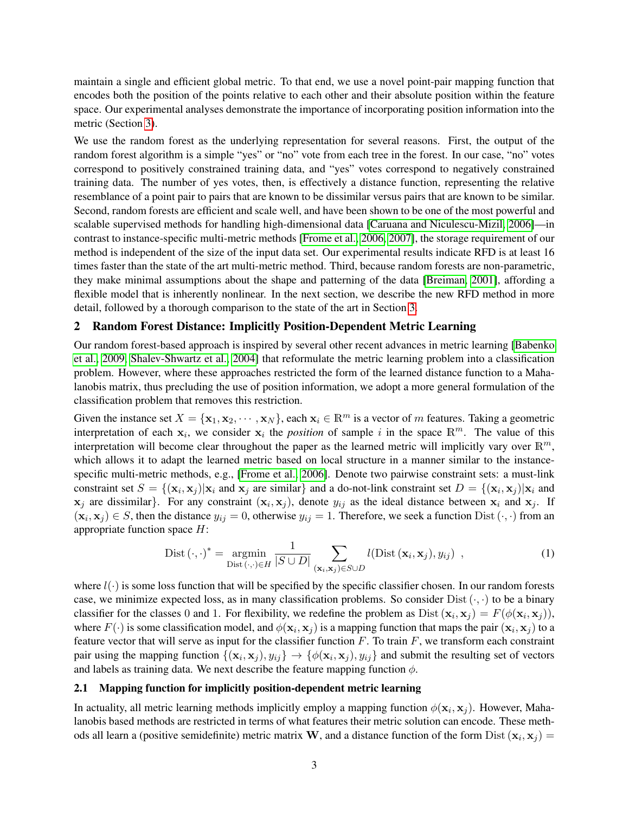maintain a single and efficient global metric. To that end, we use a novel point-pair mapping function that encodes both the position of the points relative to each other and their absolute position within the feature space. Our experimental analyses demonstrate the importance of incorporating position information into the metric (Section [3\)](#page-4-0).

We use the random forest as the underlying representation for several reasons. First, the output of the random forest algorithm is a simple "yes" or "no" vote from each tree in the forest. In our case, "no" votes correspond to positively constrained training data, and "yes" votes correspond to negatively constrained training data. The number of yes votes, then, is effectively a distance function, representing the relative resemblance of a point pair to pairs that are known to be dissimilar versus pairs that are known to be similar. Second, random forests are efficient and scale well, and have been shown to be one of the most powerful and scalable supervised methods for handling high-dimensional data [\[Caruana and Niculescu-Mizil, 2006\]](#page-11-18)—in contrast to instance-specific multi-metric methods [\[Frome et al., 2006,](#page-11-0) [2007\]](#page-11-2), the storage requirement of our method is independent of the size of the input data set. Our experimental results indicate RFD is at least 16 times faster than the state of the art multi-metric method. Third, because random forests are non-parametric, they make minimal assumptions about the shape and patterning of the data [\[Breiman, 2001\]](#page-10-2), affording a flexible model that is inherently nonlinear. In the next section, we describe the new RFD method in more detail, followed by a thorough comparison to the state of the art in Section [3.](#page-4-0)

### 2 Random Forest Distance: Implicitly Position-Dependent Metric Learning

Our random forest-based approach is inspired by several other recent advances in metric learning [\[Babenko](#page-10-4) [et al., 2009,](#page-10-4) [Shalev-Shwartz et al., 2004\]](#page-11-13) that reformulate the metric learning problem into a classification problem. However, where these approaches restricted the form of the learned distance function to a Mahalanobis matrix, thus precluding the use of position information, we adopt a more general formulation of the classification problem that removes this restriction.

Given the instance set  $X = \{x_1, x_2, \dots, x_N\}$ , each  $x_i \in \mathbb{R}^m$  is a vector of m features. Taking a geometric interpretation of each  $x_i$ , we consider  $x_i$  the *position* of sample i in the space  $\mathbb{R}^m$ . The value of this interpretation will become clear throughout the paper as the learned metric will implicitly vary over  $\mathbb{R}^m$ , which allows it to adapt the learned metric based on local structure in a manner similar to the instancespecific multi-metric methods, e.g., [\[Frome et al., 2006\]](#page-11-0). Denote two pairwise constraint sets: a must-link constraint set  $S = \{(\mathbf{x}_i, \mathbf{x}_j) | \mathbf{x}_i \text{ and } \mathbf{x}_j \text{ are similar}\}\$  and a do-not-link constraint set  $D = \{(\mathbf{x}_i, \mathbf{x}_j) | \mathbf{x}_i \text{ and } \mathbf{x}_j \text{ are similar}\}\$  $x_j$  are dissimilar}. For any constraint  $(x_i, x_j)$ , denote  $y_{ij}$  as the ideal distance between  $x_i$  and  $x_j$ . If  $(\mathbf{x}_i, \mathbf{x}_j) \in S$ , then the distance  $y_{ij} = 0$ , otherwise  $y_{ij} = 1$ . Therefore, we seek a function Dist  $(\cdot, \cdot)$  from an appropriate function space  $H$ :

$$
Dist\left(\cdot,\cdot\right)^{*} = \underset{\text{Dist}\left(\cdot,\cdot\right)\in H}{\operatorname{argmin}} \frac{1}{|S \cup D|} \sum_{(\mathbf{x}_{i},\mathbf{x}_{j}) \in S \cup D} l(\text{Dist}\left(\mathbf{x}_{i},\mathbf{x}_{j}\right), y_{ij}) , \qquad (1)
$$

where  $l(\cdot)$  is some loss function that will be specified by the specific classifier chosen. In our random forests case, we minimize expected loss, as in many classification problems. So consider  $Dist(\cdot, \cdot)$  to be a binary classifier for the classes 0 and 1. For flexibility, we redefine the problem as  $Dist(\mathbf{x}_i, \mathbf{x}_j) = F(\phi(\mathbf{x}_i, \mathbf{x}_j))$ , where  $F(\cdot)$  is some classification model, and  $\phi(\mathbf{x}_i, \mathbf{x}_j)$  is a mapping function that maps the pair  $(\mathbf{x}_i, \mathbf{x}_j)$  to a feature vector that will serve as input for the classifier function  $F$ . To train  $F$ , we transform each constraint pair using the mapping function  $\{(\mathbf{x}_i, \mathbf{x}_j), y_{ij}\}\to \{\phi(\mathbf{x}_i, \mathbf{x}_j), y_{ij}\}\$  and submit the resulting set of vectors and labels as training data. We next describe the feature mapping function  $\phi$ .

### <span id="page-2-0"></span>2.1 Mapping function for implicitly position-dependent metric learning

In actuality, all metric learning methods implicitly employ a mapping function  $\phi(\mathbf{x}_i, \mathbf{x}_j)$ . However, Mahalanobis based methods are restricted in terms of what features their metric solution can encode. These methods all learn a (positive semidefinite) metric matrix W, and a distance function of the form  $Dist(x_i, x_j) =$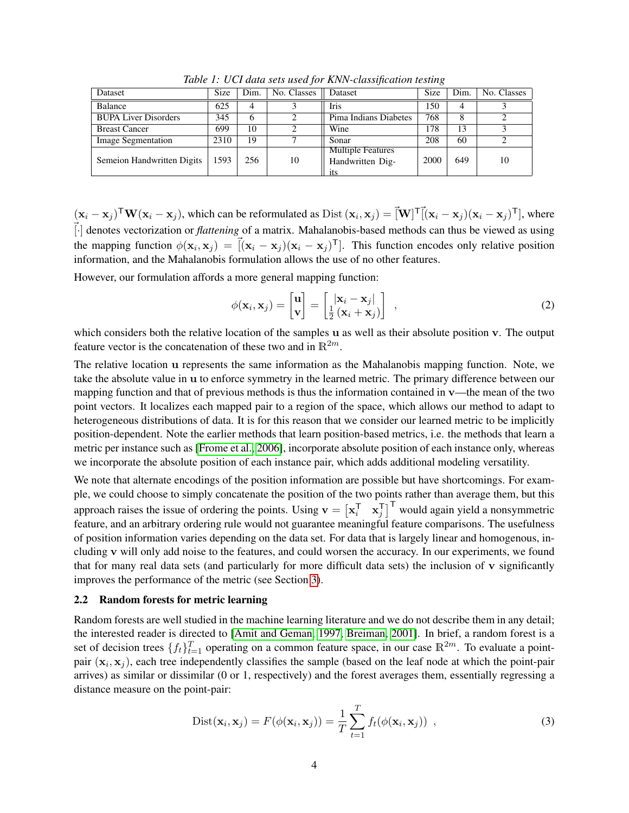| Dataset                     | <b>Size</b> | Dim. | No. Classes | <b>Dataset</b>                               | <b>Size</b> | Dim. | No. Classes |
|-----------------------------|-------------|------|-------------|----------------------------------------------|-------------|------|-------------|
| <b>Balance</b>              | 625         | 4    |             | Iris                                         | 150         |      |             |
| <b>BUPA Liver Disorders</b> | 345         | O    | 2           | Pima Indians Diabetes                        | 768         |      |             |
| <b>Breast Cancer</b>        | 699         | 10   | ာ           | Wine                                         | 178         | 13   |             |
| Image Segmentation          | 2310        | 19   |             | Sonar                                        | 208         | 60   |             |
| Semeion Handwritten Digits  | 1593        | 256  | 10          | <b>Multiple Features</b><br>Handwritten Dig- | 2000        | 649  | 10          |

<span id="page-3-1"></span>*Table 1: UCI data sets used for KNN-classification testing*

 $(\mathbf{x}_i - \mathbf{x}_j)^\mathsf{T} \mathbf{W} (\mathbf{x}_i - \mathbf{x}_j)$ , which can be reformulated as  $Dist(\mathbf{x}_i, \mathbf{x}_j) = \vec{[}\mathbf{W}]^\mathsf{T} \vec{[}(\mathbf{x}_i - \mathbf{x}_j)(\mathbf{x}_i - \mathbf{x}_j)^\mathsf{T} \vec{]}$ , where ~[·] denotes vectorization or *flattening* of a matrix. Mahalanobis-based methods can thus be viewed as using the mapping function  $\phi(\mathbf{x}_i, \mathbf{x}_j) = [\dot{f}(\mathbf{x}_i - \mathbf{x}_j)(\mathbf{x}_i - \mathbf{x}_j)^T]$ . This function encodes only relative position information, and the Mahalanobis formulation allows the use of no other features.

However, our formulation affords a more general mapping function:

<span id="page-3-0"></span>
$$
\phi(\mathbf{x}_i, \mathbf{x}_j) = \begin{bmatrix} \mathbf{u} \\ \mathbf{v} \end{bmatrix} = \begin{bmatrix} |\mathbf{x}_i - \mathbf{x}_j| \\ \frac{1}{2} (\mathbf{x}_i + \mathbf{x}_j) \end{bmatrix} ,
$$
 (2)

which considers both the relative location of the samples u as well as their absolute position v. The output feature vector is the concatenation of these two and in  $\mathbb{R}^{2m}$ .

The relative location u represents the same information as the Mahalanobis mapping function. Note, we take the absolute value in u to enforce symmetry in the learned metric. The primary difference between our mapping function and that of previous methods is thus the information contained in  $v$ —the mean of the two point vectors. It localizes each mapped pair to a region of the space, which allows our method to adapt to heterogeneous distributions of data. It is for this reason that we consider our learned metric to be implicitly position-dependent. Note the earlier methods that learn position-based metrics, i.e. the methods that learn a metric per instance such as [\[Frome et al., 2006\]](#page-11-0), incorporate absolute position of each instance only, whereas we incorporate the absolute position of each instance pair, which adds additional modeling versatility.

We note that alternate encodings of the position information are possible but have shortcomings. For example, we could choose to simply concatenate the position of the two points rather than average them, but this approach raises the issue of ordering the points. Using  $\mathbf{v} = \begin{bmatrix} \mathbf{x}_i^\mathsf{T} & \mathbf{x}_j^\mathsf{T} \end{bmatrix}^\mathsf{T}$  would again yield a nonsymmetric feature, and an arbitrary ordering rule would not guarantee meaningful feature comparisons. The usefulness of position information varies depending on the data set. For data that is largely linear and homogenous, including v will only add noise to the features, and could worsen the accuracy. In our experiments, we found that for many real data sets (and particularly for more difficult data sets) the inclusion of v significantly improves the performance of the metric (see Section [3\)](#page-4-0).

#### 2.2 Random forests for metric learning

Random forests are well studied in the machine learning literature and we do not describe them in any detail; the interested reader is directed to [\[Amit and Geman, 1997,](#page-10-1) [Breiman, 2001\]](#page-10-2). In brief, a random forest is a set of decision trees  $\{f_t\}_{t=1}^T$  operating on a common feature space, in our case  $\mathbb{R}^{2m}$ . To evaluate a pointpair  $(x_i, x_j)$ , each tree independently classifies the sample (based on the leaf node at which the point-pair arrives) as similar or dissimilar (0 or 1, respectively) and the forest averages them, essentially regressing a distance measure on the point-pair:

$$
Dist(\mathbf{x}_i, \mathbf{x}_j) = F(\phi(\mathbf{x}_i, \mathbf{x}_j)) = \frac{1}{T} \sum_{t=1}^T f_t(\phi(\mathbf{x}_i, \mathbf{x}_j)) ,
$$
 (3)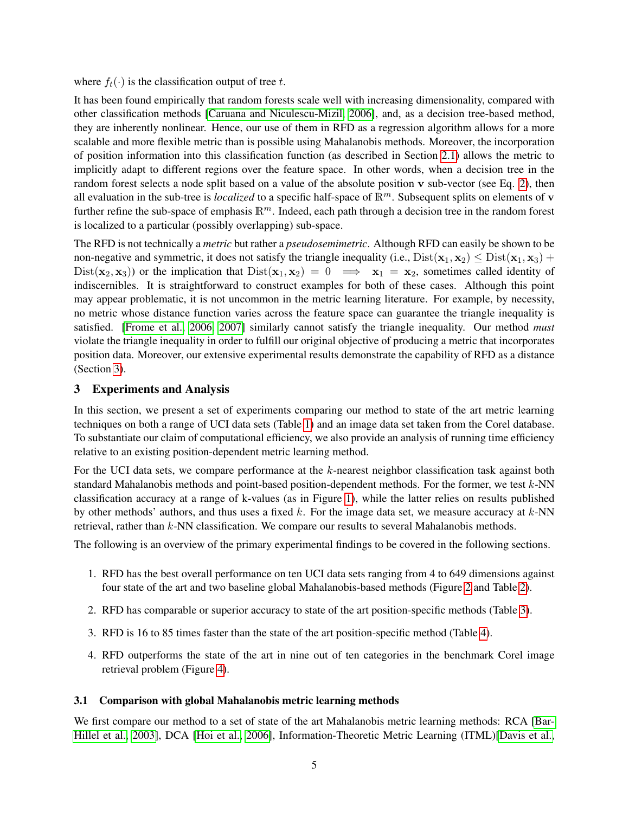where  $f_t(\cdot)$  is the classification output of tree t.

It has been found empirically that random forests scale well with increasing dimensionality, compared with other classification methods [\[Caruana and Niculescu-Mizil, 2006\]](#page-11-18), and, as a decision tree-based method, they are inherently nonlinear. Hence, our use of them in RFD as a regression algorithm allows for a more scalable and more flexible metric than is possible using Mahalanobis methods. Moreover, the incorporation of position information into this classification function (as described in Section [2.1\)](#page-2-0) allows the metric to implicitly adapt to different regions over the feature space. In other words, when a decision tree in the random forest selects a node split based on a value of the absolute position v sub-vector (see Eq. [2\)](#page-3-0), then all evaluation in the sub-tree is *localized* to a specific half-space of  $\mathbb{R}^m$ . Subsequent splits on elements of v further refine the sub-space of emphasis  $\mathbb{R}^m$ . Indeed, each path through a decision tree in the random forest is localized to a particular (possibly overlapping) sub-space.

The RFD is not technically a *metric* but rather a *pseudosemimetric*. Although RFD can easily be shown to be non-negative and symmetric, it does not satisfy the triangle inequality (i.e.,  $Dist(\mathbf{x}_1, \mathbf{x}_2) \leq Dist(\mathbf{x}_1, \mathbf{x}_3) +$ Dist( $(\mathbf{x}_2, \mathbf{x}_3)$ ) or the implication that Dist $(\mathbf{x}_1, \mathbf{x}_2) = 0 \implies \mathbf{x}_1 = \mathbf{x}_2$ , sometimes called identity of indiscernibles. It is straightforward to construct examples for both of these cases. Although this point may appear problematic, it is not uncommon in the metric learning literature. For example, by necessity, no metric whose distance function varies across the feature space can guarantee the triangle inequality is satisfied. [\[Frome et al., 2006,](#page-11-0) [2007\]](#page-11-2) similarly cannot satisfy the triangle inequality. Our method *must* violate the triangle inequality in order to fulfill our original objective of producing a metric that incorporates position data. Moreover, our extensive experimental results demonstrate the capability of RFD as a distance (Section [3\)](#page-4-0).

### <span id="page-4-0"></span>3 Experiments and Analysis

In this section, we present a set of experiments comparing our method to state of the art metric learning techniques on both a range of UCI data sets (Table [1\)](#page-3-1) and an image data set taken from the Corel database. To substantiate our claim of computational efficiency, we also provide an analysis of running time efficiency relative to an existing position-dependent metric learning method.

For the UCI data sets, we compare performance at the k-nearest neighbor classification task against both standard Mahalanobis methods and point-based position-dependent methods. For the former, we test  $k$ -NN classification accuracy at a range of k-values (as in Figure [1\)](#page-1-0), while the latter relies on results published by other methods' authors, and thus uses a fixed k. For the image data set, we measure accuracy at  $k$ -NN retrieval, rather than k-NN classification. We compare our results to several Mahalanobis methods.

The following is an overview of the primary experimental findings to be covered in the following sections.

- 1. RFD has the best overall performance on ten UCI data sets ranging from 4 to 649 dimensions against four state of the art and two baseline global Mahalanobis-based methods (Figure [2](#page-5-0) and Table [2\)](#page-8-0).
- 2. RFD has comparable or superior accuracy to state of the art position-specific methods (Table [3\)](#page-8-1).
- 3. RFD is 16 to 85 times faster than the state of the art position-specific method (Table [4\)](#page-8-2).
- 4. RFD outperforms the state of the art in nine out of ten categories in the benchmark Corel image retrieval problem (Figure [4\)](#page-9-0).

#### 3.1 Comparison with global Mahalanobis metric learning methods

We first compare our method to a set of state of the art Mahalanobis metric learning methods: RCA [\[Bar-](#page-10-3)[Hillel et al., 2003\]](#page-10-3), DCA [\[Hoi et al., 2006\]](#page-11-8), Information-Theoretic Metric Learning (ITML)[\[Davis et al.,](#page-11-7)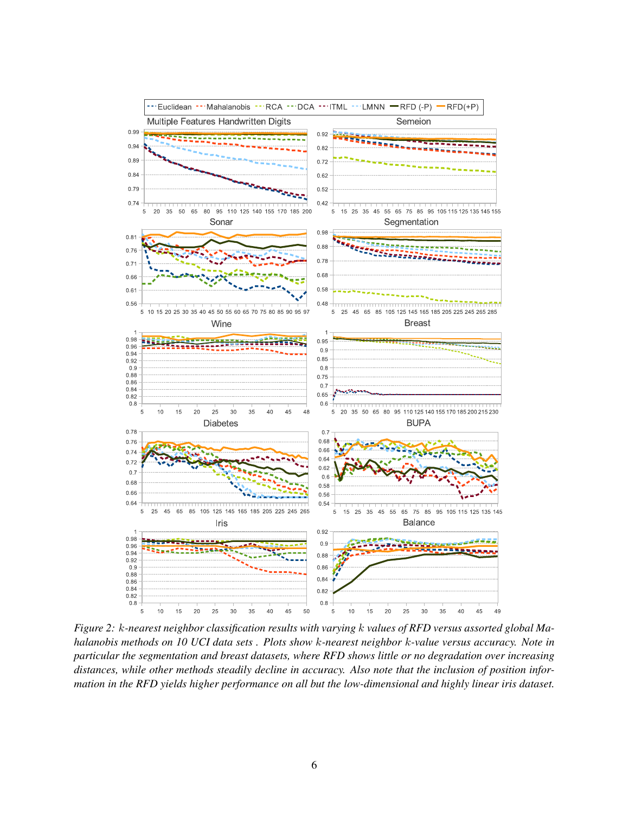

<span id="page-5-0"></span>*Figure 2:* k*-nearest neighbor classification results with varying* k *values of RFD versus assorted global Mahalanobis methods on 10 UCI data sets . Plots show* k*-nearest neighbor* k*-value versus accuracy. Note in particular the segmentation and breast datasets, where RFD shows little or no degradation over increasing distances, while other methods steadily decline in accuracy. Also note that the inclusion of position information in the RFD yields higher performance on all but the low-dimensional and highly linear iris dataset.*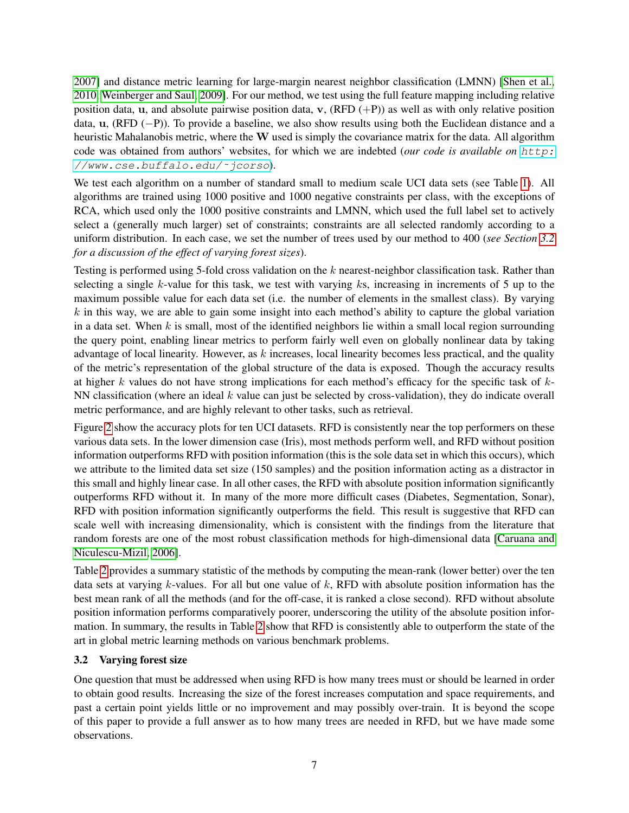[2007\]](#page-11-7) and distance metric learning for large-margin nearest neighbor classification (LMNN) [\[Shen et al.,](#page-11-10) [2010,](#page-11-10) [Weinberger and Saul, 2009\]](#page-11-12). For our method, we test using the full feature mapping including relative position data, u, and absolute pairwise position data, v,  $(RFD (+P))$  as well as with only relative position data, u, (RFD (−P)). To provide a baseline, we also show results using both the Euclidean distance and a heuristic Mahalanobis metric, where the  $W$  used is simply the covariance matrix for the data. All algorithm code was obtained from authors' websites, for which we are indebted (*our code is available on* [http:](http://www.cse.buffalo.edu/~jcorso) [//www.cse.buffalo.edu/˜jcorso](http://www.cse.buffalo.edu/~jcorso)).

We test each algorithm on a number of standard small to medium scale UCI data sets (see Table [1\)](#page-3-1). All algorithms are trained using 1000 positive and 1000 negative constraints per class, with the exceptions of RCA, which used only the 1000 positive constraints and LMNN, which used the full label set to actively select a (generally much larger) set of constraints; constraints are all selected randomly according to a uniform distribution. In each case, we set the number of trees used by our method to 400 (*see Section [3.2](#page-6-0) for a discussion of the effect of varying forest sizes*).

Testing is performed using 5-fold cross validation on the k nearest-neighbor classification task. Rather than selecting a single k-value for this task, we test with varying ks, increasing in increments of 5 up to the maximum possible value for each data set (i.e. the number of elements in the smallest class). By varying  $k$  in this way, we are able to gain some insight into each method's ability to capture the global variation in a data set. When  $k$  is small, most of the identified neighbors lie within a small local region surrounding the query point, enabling linear metrics to perform fairly well even on globally nonlinear data by taking advantage of local linearity. However, as  $k$  increases, local linearity becomes less practical, and the quality of the metric's representation of the global structure of the data is exposed. Though the accuracy results at higher  $k$  values do not have strong implications for each method's efficacy for the specific task of  $k$ -NN classification (where an ideal  $k$  value can just be selected by cross-validation), they do indicate overall metric performance, and are highly relevant to other tasks, such as retrieval.

Figure [2](#page-5-0) show the accuracy plots for ten UCI datasets. RFD is consistently near the top performers on these various data sets. In the lower dimension case (Iris), most methods perform well, and RFD without position information outperforms RFD with position information (this is the sole data set in which this occurs), which we attribute to the limited data set size (150 samples) and the position information acting as a distractor in this small and highly linear case. In all other cases, the RFD with absolute position information significantly outperforms RFD without it. In many of the more more difficult cases (Diabetes, Segmentation, Sonar), RFD with position information significantly outperforms the field. This result is suggestive that RFD can scale well with increasing dimensionality, which is consistent with the findings from the literature that random forests are one of the most robust classification methods for high-dimensional data [\[Caruana and](#page-11-18) [Niculescu-Mizil, 2006\]](#page-11-18).

Table [2](#page-8-0) provides a summary statistic of the methods by computing the mean-rank (lower better) over the ten data sets at varying  $k$ -values. For all but one value of  $k$ , RFD with absolute position information has the best mean rank of all the methods (and for the off-case, it is ranked a close second). RFD without absolute position information performs comparatively poorer, underscoring the utility of the absolute position information. In summary, the results in Table [2](#page-8-0) show that RFD is consistently able to outperform the state of the art in global metric learning methods on various benchmark problems.

## <span id="page-6-0"></span>3.2 Varying forest size

One question that must be addressed when using RFD is how many trees must or should be learned in order to obtain good results. Increasing the size of the forest increases computation and space requirements, and past a certain point yields little or no improvement and may possibly over-train. It is beyond the scope of this paper to provide a full answer as to how many trees are needed in RFD, but we have made some observations.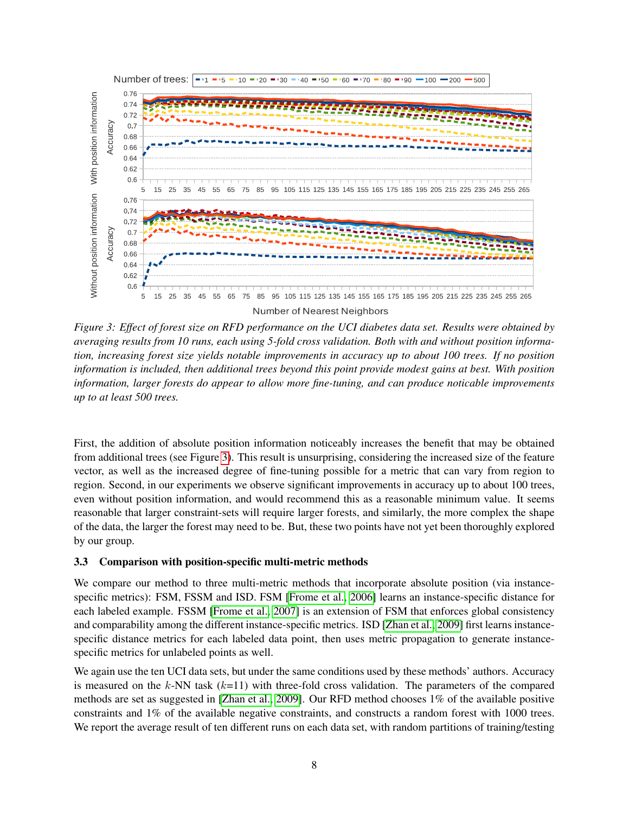

<span id="page-7-0"></span>*Figure 3: Effect of forest size on RFD performance on the UCI diabetes data set. Results were obtained by averaging results from 10 runs, each using 5-fold cross validation. Both with and without position information, increasing forest size yields notable improvements in accuracy up to about 100 trees. If no position information is included, then additional trees beyond this point provide modest gains at best. With position information, larger forests do appear to allow more fine-tuning, and can produce noticable improvements up to at least 500 trees.*

First, the addition of absolute position information noticeably increases the benefit that may be obtained from additional trees (see Figure [3\)](#page-7-0). This result is unsurprising, considering the increased size of the feature vector, as well as the increased degree of fine-tuning possible for a metric that can vary from region to region. Second, in our experiments we observe significant improvements in accuracy up to about 100 trees, even without position information, and would recommend this as a reasonable minimum value. It seems reasonable that larger constraint-sets will require larger forests, and similarly, the more complex the shape of the data, the larger the forest may need to be. But, these two points have not yet been thoroughly explored by our group.

## 3.3 Comparison with position-specific multi-metric methods

We compare our method to three multi-metric methods that incorporate absolute position (via instancespecific metrics): FSM, FSSM and ISD. FSM [\[Frome et al., 2006\]](#page-11-0) learns an instance-specific distance for each labeled example. FSSM [\[Frome et al., 2007\]](#page-11-2) is an extension of FSM that enforces global consistency and comparability among the different instance-specific metrics. ISD [\[Zhan et al., 2009\]](#page-12-2) first learns instancespecific distance metrics for each labeled data point, then uses metric propagation to generate instancespecific metrics for unlabeled points as well.

We again use the ten UCI data sets, but under the same conditions used by these methods' authors. Accuracy is measured on the k-NN task  $(k=11)$  with three-fold cross validation. The parameters of the compared methods are set as suggested in [\[Zhan et al., 2009\]](#page-12-2). Our RFD method chooses 1% of the available positive constraints and 1% of the available negative constraints, and constructs a random forest with 1000 trees. We report the average result of ten different runs on each data set, with random partitions of training/testing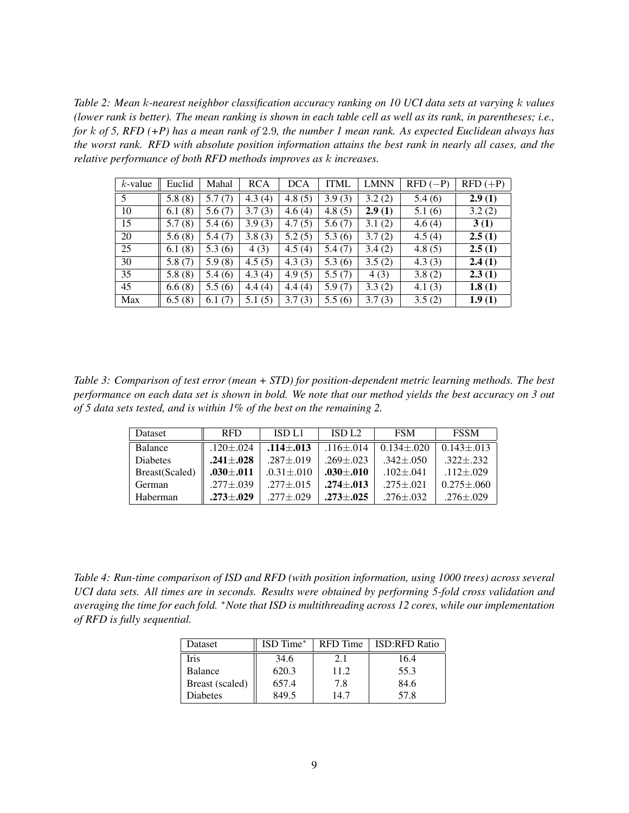<span id="page-8-0"></span>*Table 2: Mean* k*-nearest neighbor classification accuracy ranking on 10 UCI data sets at varying* k *values (lower rank is better). The mean ranking is shown in each table cell as well as its rank, in parentheses; i.e., for* k *of 5, RFD (+P) has a mean rank of* 2.9*, the number 1 mean rank. As expected Euclidean always has the worst rank. RFD with absolute position information attains the best rank in nearly all cases, and the relative performance of both RFD methods improves as* k *increases.*

| $k$ -value | Euclid | Mahal  | <b>RCA</b> | <b>DCA</b> | <b>ITML</b> | <b>LMNN</b> | $RFD (-P)$ | $RFD (+P)$ |
|------------|--------|--------|------------|------------|-------------|-------------|------------|------------|
| 5          | 5.8(8) | 5.7(7) | 4.3(4)     | 4.8(5)     | 3.9(3)      | 3.2(2)      | 5.4(6)     | 2.9(1)     |
| 10         | 6.1(8) | 5.6(7) | 3.7(3)     | 4.6(4)     | 4.8(5)      | 2.9(1)      | 5.1(6)     | 3.2(2)     |
| 15         | 5.7(8) | 5.4(6) | 3.9(3)     | 4.7(5)     | 5.6(7)      | 3.1(2)      | 4.6(4)     | 3(1)       |
| 20         | 5.6(8) | 5.4(7) | 3.8(3)     | 5.2(5)     | 5.3(6)      | 3.7(2)      | 4.5(4)     | 2.5(1)     |
| 25         | 6.1(8) | 5.3(6) | 4(3)       | 4.5(4)     | 5.4(7)      | 3.4(2)      | 4.8(5)     | 2.5(1)     |
| 30         | 5.8(7) | 5.9(8) | 4.5(5)     | 4.3(3)     | 5.3(6)      | 3.5(2)      | 4.3(3)     | 2.4(1)     |
| 35         | 5.8(8) | 5.4(6) | 4.3(4)     | 4.9(5)     | 5.5(7)      | 4(3)        | 3.8(2)     | 2.3(1)     |
| 45         | 6.6(8) | 5.5(6) | 4.4(4)     | 4.4(4)     | 5.9(7)      | 3.3(2)      | 4.1(3)     | 1.8(1)     |
| Max        | 6.5(8) | 6.1(7) | 5.1(5)     | 3.7(3)     | 5.5(6)      | 3.7(3)      | 3.5(2)     | 1.9(1)     |

<span id="page-8-1"></span>*Table 3: Comparison of test error (mean + STD) for position-dependent metric learning methods. The best performance on each data set is shown in bold. We note that our method yields the best accuracy on 3 out of 5 data sets tested, and is within 1% of the best on the remaining 2.*

| Dataset         | <b>RFD</b>      | ISD L1           | ISD1.2          | <b>FSM</b>      | <b>FSSM</b>       |
|-----------------|-----------------|------------------|-----------------|-----------------|-------------------|
| Balance         | $.120 \pm .024$ | $.114 + .013$    | $.116 + .014$   | $0.134 + 020$   | $0.143 + 013$     |
| <b>Diabetes</b> | $.241 + .028$   | $.287 + .019$    | $.269 + .023$   | $.342 \pm .050$ | $.322 + .232$     |
| Breast(Scaled)  | $.030 \pm .011$ | $.0.31 \pm .010$ | $.030 + .010$   | $.102 \pm .041$ | $.112 \pm .029$   |
| German          | $.277 \pm .039$ | $.277 \pm .015$  | $.274 \pm .013$ | $.275 \pm .021$ | $0.275 \pm 0.060$ |
| Haberman        | $.273 + .029$   | $.277 + .029$    | $.273 + .025$   | $.276 + .032$   | $.276 \pm .029$   |

<span id="page-8-2"></span>*Table 4: Run-time comparison of ISD and RFD (with position information, using 1000 trees) across several UCI data sets. All times are in seconds. Results were obtained by performing 5-fold cross validation and averaging the time for each fold.* <sup>∗</sup>*Note that ISD is multithreading across 12 cores, while our implementation of RFD is fully sequential.*

| Dataset         | ISD Time* | <b>RFD</b> Time | <b>ISD:RFD Ratio</b> |
|-----------------|-----------|-----------------|----------------------|
| Iris            | 34.6      | 2.1             | 16.4                 |
| Balance         | 620.3     | 11.2            | 55.3                 |
| Breast (scaled) | 657.4     | 7.8             | 84.6                 |
| Diabetes        | 849.5     | 14 7            | 57.8                 |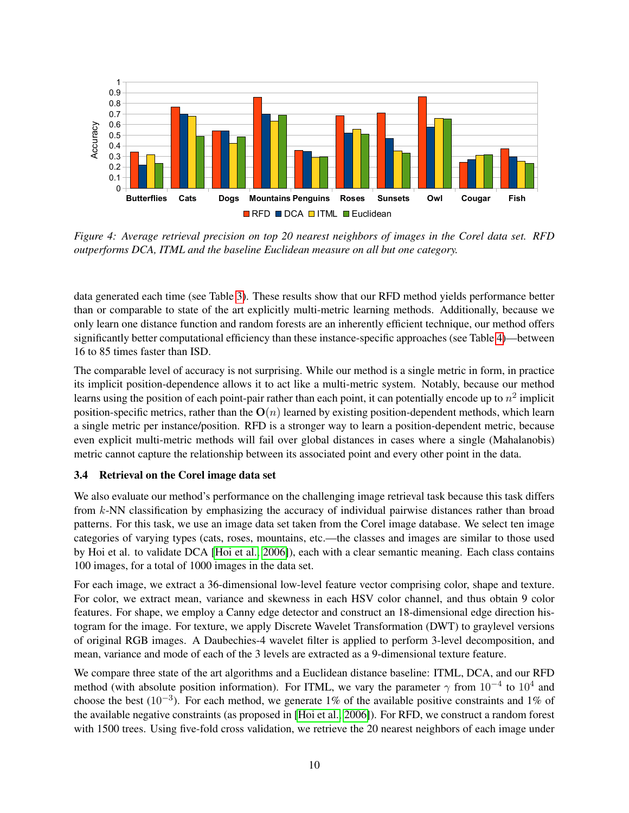

<span id="page-9-0"></span>*Figure 4: Average retrieval precision on top 20 nearest neighbors of images in the Corel data set. RFD outperforms DCA, ITML and the baseline Euclidean measure on all but one category.*

data generated each time (see Table [3\)](#page-8-1). These results show that our RFD method yields performance better than or comparable to state of the art explicitly multi-metric learning methods. Additionally, because we only learn one distance function and random forests are an inherently efficient technique, our method offers significantly better computational efficiency than these instance-specific approaches (see Table [4\)](#page-8-2)—between 16 to 85 times faster than ISD.

The comparable level of accuracy is not surprising. While our method is a single metric in form, in practice its implicit position-dependence allows it to act like a multi-metric system. Notably, because our method learns using the position of each point-pair rather than each point, it can potentially encode up to  $n^2$  implicit position-specific metrics, rather than the  $O(n)$  learned by existing position-dependent methods, which learn a single metric per instance/position. RFD is a stronger way to learn a position-dependent metric, because even explicit multi-metric methods will fail over global distances in cases where a single (Mahalanobis) metric cannot capture the relationship between its associated point and every other point in the data.

## 3.4 Retrieval on the Corel image data set

We also evaluate our method's performance on the challenging image retrieval task because this task differs from k-NN classification by emphasizing the accuracy of individual pairwise distances rather than broad patterns. For this task, we use an image data set taken from the Corel image database. We select ten image categories of varying types (cats, roses, mountains, etc.—the classes and images are similar to those used by Hoi et al. to validate DCA [\[Hoi et al., 2006\]](#page-11-8)), each with a clear semantic meaning. Each class contains 100 images, for a total of 1000 images in the data set.

For each image, we extract a 36-dimensional low-level feature vector comprising color, shape and texture. For color, we extract mean, variance and skewness in each HSV color channel, and thus obtain 9 color features. For shape, we employ a Canny edge detector and construct an 18-dimensional edge direction histogram for the image. For texture, we apply Discrete Wavelet Transformation (DWT) to graylevel versions of original RGB images. A Daubechies-4 wavelet filter is applied to perform 3-level decomposition, and mean, variance and mode of each of the 3 levels are extracted as a 9-dimensional texture feature.

We compare three state of the art algorithms and a Euclidean distance baseline: ITML, DCA, and our RFD method (with absolute position information). For ITML, we vary the parameter  $\gamma$  from  $10^{-4}$  to  $10^{4}$  and choose the best (10<sup>-3</sup>). For each method, we generate 1% of the available positive constraints and 1% of the available negative constraints (as proposed in [\[Hoi et al., 2006\]](#page-11-8)). For RFD, we construct a random forest with 1500 trees. Using five-fold cross validation, we retrieve the 20 nearest neighbors of each image under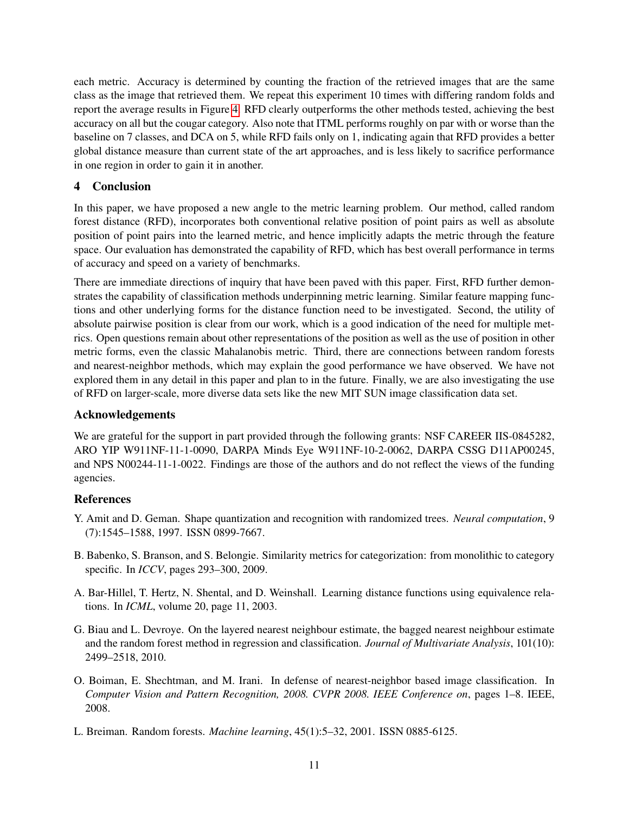each metric. Accuracy is determined by counting the fraction of the retrieved images that are the same class as the image that retrieved them. We repeat this experiment 10 times with differing random folds and report the average results in Figure [4.](#page-9-0) RFD clearly outperforms the other methods tested, achieving the best accuracy on all but the cougar category. Also note that ITML performs roughly on par with or worse than the baseline on 7 classes, and DCA on 5, while RFD fails only on 1, indicating again that RFD provides a better global distance measure than current state of the art approaches, and is less likely to sacrifice performance in one region in order to gain it in another.

## 4 Conclusion

In this paper, we have proposed a new angle to the metric learning problem. Our method, called random forest distance (RFD), incorporates both conventional relative position of point pairs as well as absolute position of point pairs into the learned metric, and hence implicitly adapts the metric through the feature space. Our evaluation has demonstrated the capability of RFD, which has best overall performance in terms of accuracy and speed on a variety of benchmarks.

There are immediate directions of inquiry that have been paved with this paper. First, RFD further demonstrates the capability of classification methods underpinning metric learning. Similar feature mapping functions and other underlying forms for the distance function need to be investigated. Second, the utility of absolute pairwise position is clear from our work, which is a good indication of the need for multiple metrics. Open questions remain about other representations of the position as well as the use of position in other metric forms, even the classic Mahalanobis metric. Third, there are connections between random forests and nearest-neighbor methods, which may explain the good performance we have observed. We have not explored them in any detail in this paper and plan to in the future. Finally, we are also investigating the use of RFD on larger-scale, more diverse data sets like the new MIT SUN image classification data set.

## Acknowledgements

We are grateful for the support in part provided through the following grants: NSF CAREER IIS-0845282, ARO YIP W911NF-11-1-0090, DARPA Minds Eye W911NF-10-2-0062, DARPA CSSG D11AP00245, and NPS N00244-11-1-0022. Findings are those of the authors and do not reflect the views of the funding agencies.

## References

- <span id="page-10-1"></span>Y. Amit and D. Geman. Shape quantization and recognition with randomized trees. *Neural computation*, 9 (7):1545–1588, 1997. ISSN 0899-7667.
- <span id="page-10-4"></span>B. Babenko, S. Branson, and S. Belongie. Similarity metrics for categorization: from monolithic to category specific. In *ICCV*, pages 293–300, 2009.
- <span id="page-10-3"></span>A. Bar-Hillel, T. Hertz, N. Shental, and D. Weinshall. Learning distance functions using equivalence relations. In *ICML*, volume 20, page 11, 2003.
- <span id="page-10-5"></span>G. Biau and L. Devroye. On the layered nearest neighbour estimate, the bagged nearest neighbour estimate and the random forest method in regression and classification. *Journal of Multivariate Analysis*, 101(10): 2499–2518, 2010.
- <span id="page-10-0"></span>O. Boiman, E. Shechtman, and M. Irani. In defense of nearest-neighbor based image classification. In *Computer Vision and Pattern Recognition, 2008. CVPR 2008. IEEE Conference on*, pages 1–8. IEEE, 2008.
- <span id="page-10-2"></span>L. Breiman. Random forests. *Machine learning*, 45(1):5–32, 2001. ISSN 0885-6125.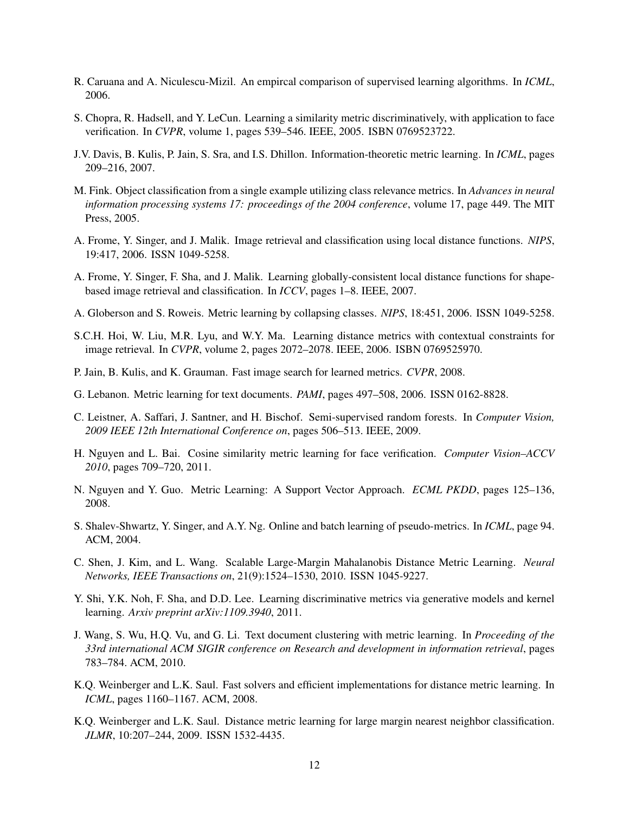- <span id="page-11-18"></span>R. Caruana and A. Niculescu-Mizil. An empircal comparison of supervised learning algorithms. In *ICML*, 2006.
- <span id="page-11-5"></span>S. Chopra, R. Hadsell, and Y. LeCun. Learning a similarity metric discriminatively, with application to face verification. In *CVPR*, volume 1, pages 539–546. IEEE, 2005. ISBN 0769523722.
- <span id="page-11-7"></span>J.V. Davis, B. Kulis, P. Jain, S. Sra, and I.S. Dhillon. Information-theoretic metric learning. In *ICML*, pages 209–216, 2007.
- <span id="page-11-1"></span>M. Fink. Object classification from a single example utilizing class relevance metrics. In *Advances in neural information processing systems 17: proceedings of the 2004 conference*, volume 17, page 449. The MIT Press, 2005.
- <span id="page-11-0"></span>A. Frome, Y. Singer, and J. Malik. Image retrieval and classification using local distance functions. *NIPS*, 19:417, 2006. ISSN 1049-5258.
- <span id="page-11-2"></span>A. Frome, Y. Singer, F. Sha, and J. Malik. Learning globally-consistent local distance functions for shapebased image retrieval and classification. In *ICCV*, pages 1–8. IEEE, 2007.
- <span id="page-11-14"></span>A. Globerson and S. Roweis. Metric learning by collapsing classes. *NIPS*, 18:451, 2006. ISSN 1049-5258.
- <span id="page-11-8"></span>S.C.H. Hoi, W. Liu, M.R. Lyu, and W.Y. Ma. Learning distance metrics with contextual constraints for image retrieval. In *CVPR*, volume 2, pages 2072–2078. IEEE, 2006. ISBN 0769525970.
- <span id="page-11-15"></span>P. Jain, B. Kulis, and K. Grauman. Fast image search for learned metrics. *CVPR*, 2008.
- <span id="page-11-3"></span>G. Lebanon. Metric learning for text documents. *PAMI*, pages 497–508, 2006. ISSN 0162-8828.
- <span id="page-11-17"></span>C. Leistner, A. Saffari, J. Santner, and H. Bischof. Semi-supervised random forests. In *Computer Vision, 2009 IEEE 12th International Conference on*, pages 506–513. IEEE, 2009.
- <span id="page-11-6"></span>H. Nguyen and L. Bai. Cosine similarity metric learning for face verification. *Computer Vision–ACCV 2010*, pages 709–720, 2011.
- <span id="page-11-9"></span>N. Nguyen and Y. Guo. Metric Learning: A Support Vector Approach. *ECML PKDD*, pages 125–136, 2008.
- <span id="page-11-13"></span>S. Shalev-Shwartz, Y. Singer, and A.Y. Ng. Online and batch learning of pseudo-metrics. In *ICML*, page 94. ACM, 2004.
- <span id="page-11-10"></span>C. Shen, J. Kim, and L. Wang. Scalable Large-Margin Mahalanobis Distance Metric Learning. *Neural Networks, IEEE Transactions on*, 21(9):1524–1530, 2010. ISSN 1045-9227.
- <span id="page-11-11"></span>Y. Shi, Y.K. Noh, F. Sha, and D.D. Lee. Learning discriminative metrics via generative models and kernel learning. *Arxiv preprint arXiv:1109.3940*, 2011.
- <span id="page-11-4"></span>J. Wang, S. Wu, H.Q. Vu, and G. Li. Text document clustering with metric learning. In *Proceeding of the 33rd international ACM SIGIR conference on Research and development in information retrieval*, pages 783–784. ACM, 2010.
- <span id="page-11-16"></span>K.Q. Weinberger and L.K. Saul. Fast solvers and efficient implementations for distance metric learning. In *ICML*, pages 1160–1167. ACM, 2008.
- <span id="page-11-12"></span>K.Q. Weinberger and L.K. Saul. Distance metric learning for large margin nearest neighbor classification. *JLMR*, 10:207–244, 2009. ISSN 1532-4435.